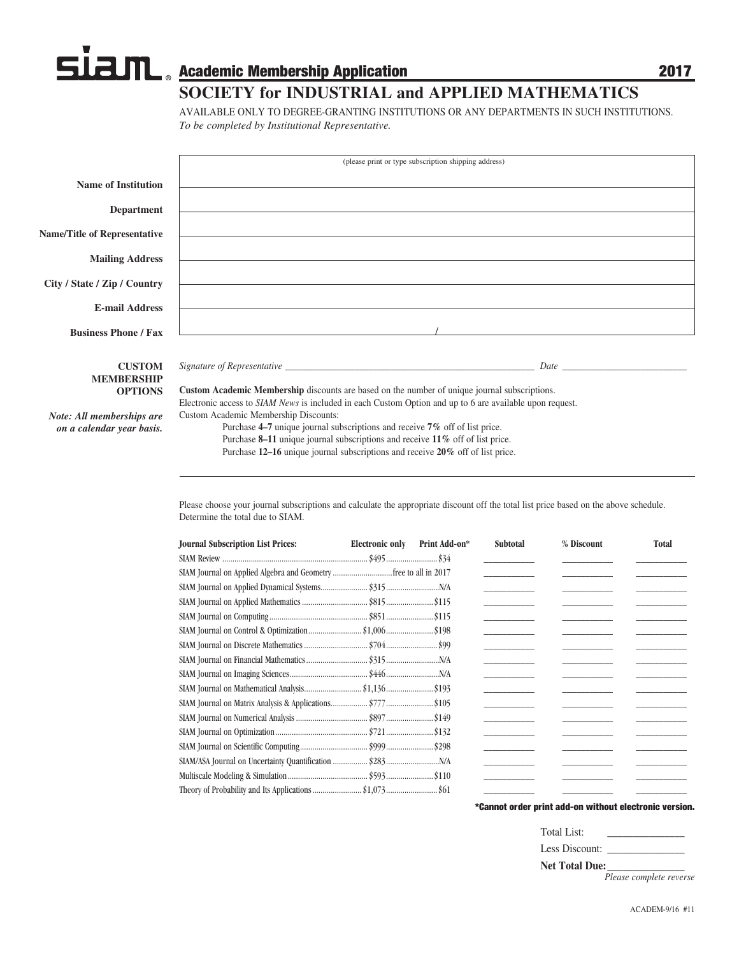# Academic Membership Application 2017

## **SOCIETY for INDUSTRIAL and APPLIED MATHEMATICS**

AVAILABLE ONLY TO DEGREE-GRANTING INSTITUTIONS OR ANY DEPARTMENTS IN SUCH INSTITUTIONS. *To be completed by Institutional Representative.*

|                                     | (please print or type subscription shipping address)                                                                                                                                                                           |  |  |  |  |  |
|-------------------------------------|--------------------------------------------------------------------------------------------------------------------------------------------------------------------------------------------------------------------------------|--|--|--|--|--|
| <b>Name of Institution</b>          |                                                                                                                                                                                                                                |  |  |  |  |  |
| <b>Department</b>                   |                                                                                                                                                                                                                                |  |  |  |  |  |
| <b>Name/Title of Representative</b> | and the control of the control of the control of the control of the control of the control of the control of the                                                                                                               |  |  |  |  |  |
| <b>Mailing Address</b>              | and the control of the control of the control of the control of the control of the control of the control of the                                                                                                               |  |  |  |  |  |
| City / State / Zip / Country        |                                                                                                                                                                                                                                |  |  |  |  |  |
| <b>E-mail Address</b>               |                                                                                                                                                                                                                                |  |  |  |  |  |
| <b>Business Phone / Fax</b>         |                                                                                                                                                                                                                                |  |  |  |  |  |
|                                     |                                                                                                                                                                                                                                |  |  |  |  |  |
| <b>CUSTOM</b>                       | Date and the contract of the contract of the contract of the contract of the contract of the contract of the contract of the contract of the contract of the contract of the contract of the contract of the contract of the c |  |  |  |  |  |
| <b>MEMBERSHIP</b>                   |                                                                                                                                                                                                                                |  |  |  |  |  |
| <b>OPTIONS</b>                      | <b>Custom Academic Membership discounts are based on the number of unique journal subscriptions.</b>                                                                                                                           |  |  |  |  |  |
|                                     | Electronic access to SIAM News is included in each Custom Option and up to 6 are available upon request.                                                                                                                       |  |  |  |  |  |
| Note: All memberships are           | Custom Academic Membership Discounts:                                                                                                                                                                                          |  |  |  |  |  |
| on a calendar year basis.           | Purchase 4–7 unique journal subscriptions and receive 7% off of list price.                                                                                                                                                    |  |  |  |  |  |
|                                     | Purchase 8–11 unique journal subscriptions and receive 11% off of list price.                                                                                                                                                  |  |  |  |  |  |
|                                     | Purchase 12–16 unique journal subscriptions and receive 20% off of list price.                                                                                                                                                 |  |  |  |  |  |

Please choose your journal subscriptions and calculate the appropriate discount off the total list price based on the above schedule. Determine the total due to SIAM.

| <b>Journal Subscription List Prices:</b> | <b>Electronic only</b> | Print Add-on* | Subtotal                          | % Discount | <b>Total</b> |
|------------------------------------------|------------------------|---------------|-----------------------------------|------------|--------------|
|                                          |                        |               |                                   |            |              |
|                                          |                        |               |                                   |            |              |
|                                          |                        |               |                                   |            |              |
|                                          |                        |               | <b>Contract Contract Contract</b> |            |              |
|                                          |                        |               | <b>Contract Contract</b>          |            |              |
|                                          |                        |               |                                   |            |              |
|                                          |                        |               |                                   |            |              |
|                                          |                        |               |                                   |            |              |
|                                          |                        |               |                                   |            |              |
|                                          |                        |               |                                   |            |              |
|                                          |                        |               |                                   |            |              |
|                                          |                        |               |                                   |            |              |
|                                          |                        |               |                                   |            |              |
|                                          |                        |               |                                   |            |              |
|                                          |                        |               |                                   |            |              |
|                                          |                        |               |                                   |            |              |
|                                          |                        |               |                                   |            |              |

\*Cannot order print add-on without electronic version.

| Total List:             |
|-------------------------|
| Less Discount:          |
| <b>Net Total Due:</b>   |
| Please complete reverse |